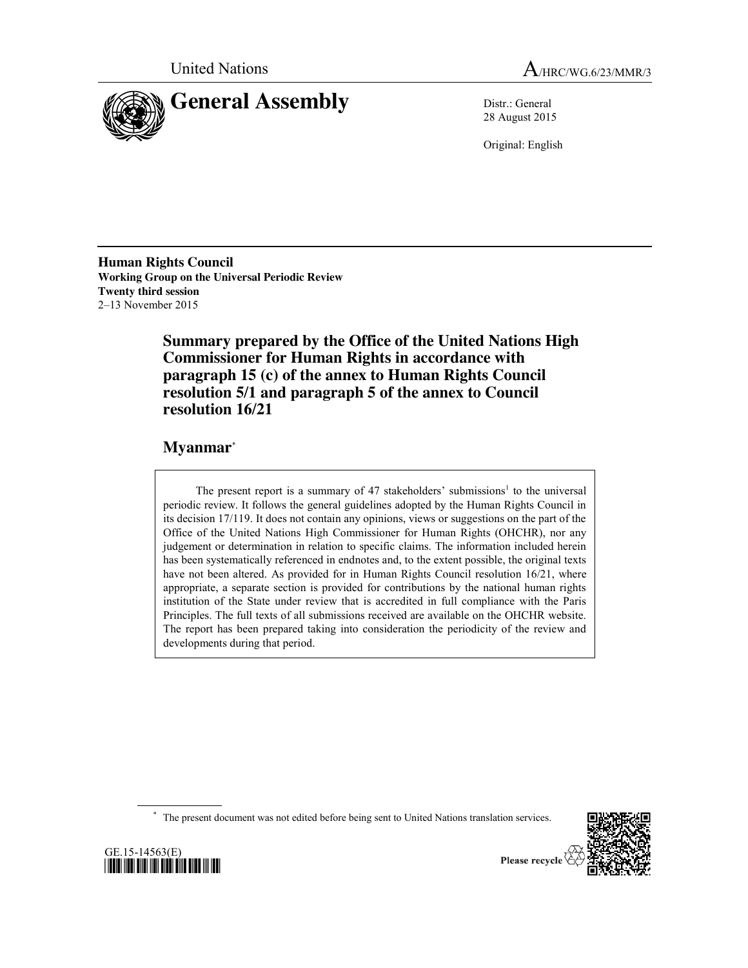



28 August 2015

Original: English

**Human Rights Council Working Group on the Universal Periodic Review Twenty third session** 2–13 November 2015

> **Summary prepared by the Office of the United Nations High Commissioner for Human Rights in accordance with paragraph 15 (c) of the annex to Human Rights Council resolution 5/1 and paragraph 5 of the annex to Council resolution 16/21**

# **Myanmar**\*

The present report is a summary of 47 stakeholders' submissions<sup>1</sup> to the universal periodic review. It follows the general guidelines adopted by the Human Rights Council in its decision 17/119. It does not contain any opinions, views or suggestions on the part of the Office of the United Nations High Commissioner for Human Rights (OHCHR), nor any judgement or determination in relation to specific claims. The information included herein has been systematically referenced in endnotes and, to the extent possible, the original texts have not been altered. As provided for in Human Rights Council resolution 16/21, where appropriate, a separate section is provided for contributions by the national human rights institution of the State under review that is accredited in full compliance with the Paris Principles. The full texts of all submissions received are available on the OHCHR website. The report has been prepared taking into consideration the periodicity of the review and developments during that period.

\* The present document was not edited before being sent to United Nations translation services.



GE.15-14563(E) \*1514563\*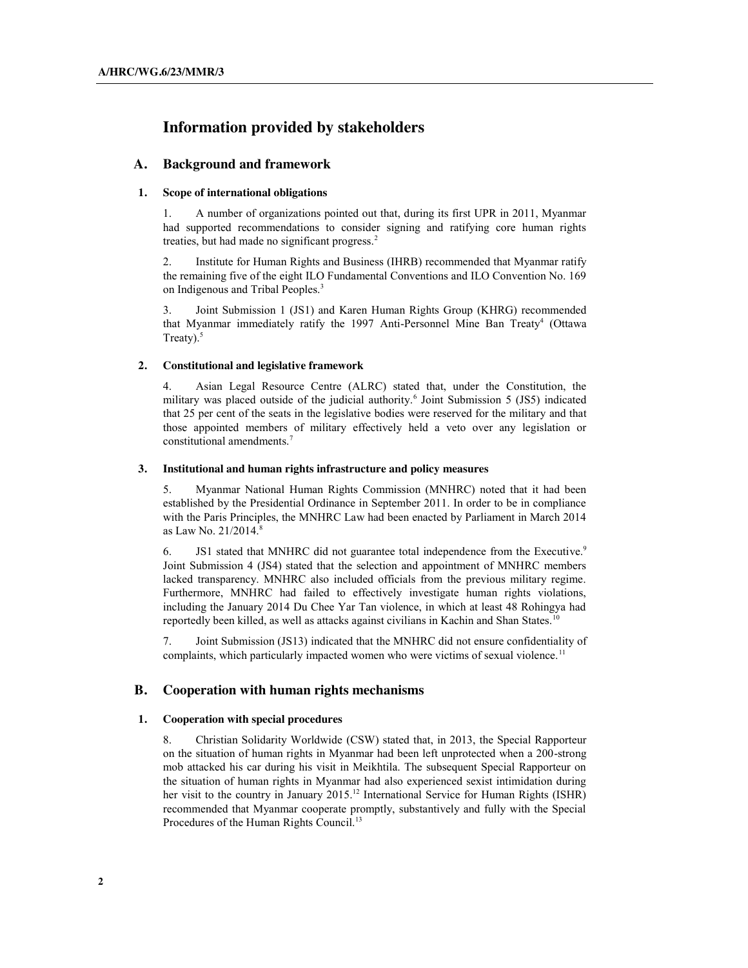# **Information provided by stakeholders**

## **A. Background and framework**

## **1. Scope of international obligations**

1. A number of organizations pointed out that, during its first UPR in 2011, Myanmar had supported recommendations to consider signing and ratifying core human rights treaties, but had made no significant progress.<sup>2</sup>

2. Institute for Human Rights and Business (IHRB) recommended that Myanmar ratify the remaining five of the eight ILO Fundamental Conventions and ILO Convention No. 169 on Indigenous and Tribal Peoples.<sup>3</sup>

3. Joint Submission 1 (JS1) and Karen Human Rights Group (KHRG) recommended that Myanmar immediately ratify the 1997 Anti-Personnel Mine Ban Treaty4 (Ottawa Treaty).<sup>5</sup>

## **2. Constitutional and legislative framework**

4. Asian Legal Resource Centre (ALRC) stated that, under the Constitution, the military was placed outside of the judicial authority.<sup>6</sup> Joint Submission 5 (JS5) indicated that 25 per cent of the seats in the legislative bodies were reserved for the military and that those appointed members of military effectively held a veto over any legislation or constitutional amendments.7

## **3. Institutional and human rights infrastructure and policy measures**

5. Myanmar National Human Rights Commission (MNHRC) noted that it had been established by the Presidential Ordinance in September 2011. In order to be in compliance with the Paris Principles, the MNHRC Law had been enacted by Parliament in March 2014 as Law No. 21/2014.8

6. JS1 stated that MNHRC did not guarantee total independence from the Executive.<sup>9</sup> Joint Submission 4 (JS4) stated that the selection and appointment of MNHRC members lacked transparency. MNHRC also included officials from the previous military regime. Furthermore, MNHRC had failed to effectively investigate human rights violations, including the January 2014 Du Chee Yar Tan violence, in which at least 48 Rohingya had reportedly been killed, as well as attacks against civilians in Kachin and Shan States.<sup>10</sup>

7. Joint Submission (JS13) indicated that the MNHRC did not ensure confidentiality of complaints, which particularly impacted women who were victims of sexual violence.<sup>11</sup>

## **B. Cooperation with human rights mechanisms**

## **1. Cooperation with special procedures**

8. Christian Solidarity Worldwide (CSW) stated that, in 2013, the Special Rapporteur on the situation of human rights in Myanmar had been left unprotected when a 200-strong mob attacked his car during his visit in Meikhtila. The subsequent Special Rapporteur on the situation of human rights in Myanmar had also experienced sexist intimidation during her visit to the country in January 2015.<sup>12</sup> International Service for Human Rights (ISHR) recommended that Myanmar cooperate promptly, substantively and fully with the Special Procedures of the Human Rights Council.<sup>13</sup>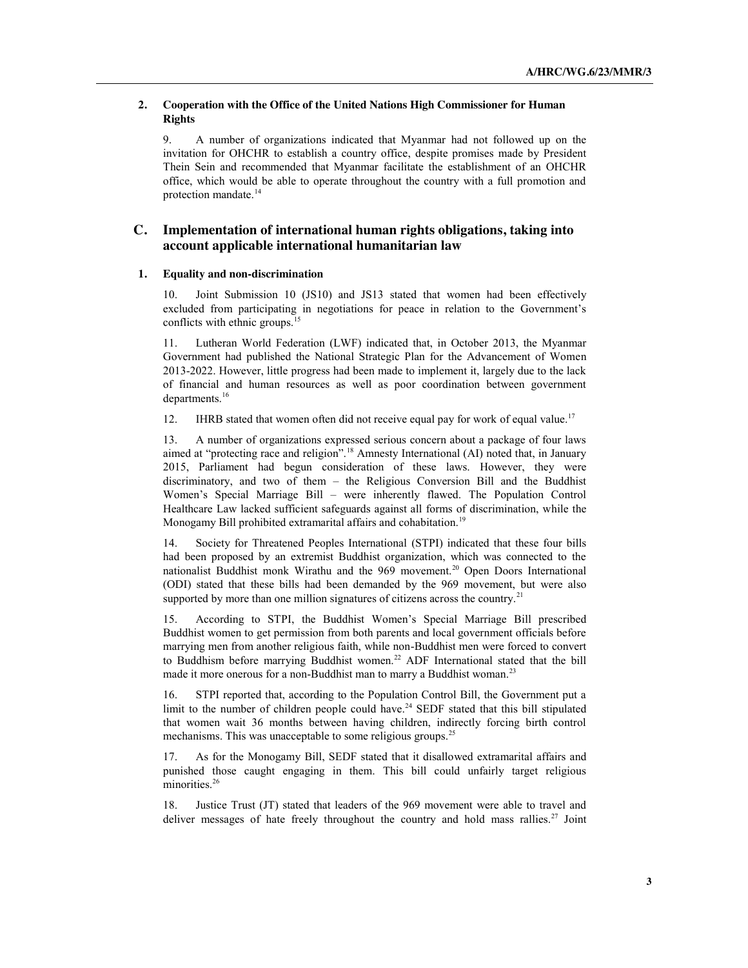## **2. Cooperation with the Office of the United Nations High Commissioner for Human Rights**

9. A number of organizations indicated that Myanmar had not followed up on the invitation for OHCHR to establish a country office, despite promises made by President Thein Sein and recommended that Myanmar facilitate the establishment of an OHCHR office, which would be able to operate throughout the country with a full promotion and protection mandate.<sup>14</sup>

## **C. Implementation of international human rights obligations, taking into account applicable international humanitarian law**

## **1. Equality and non-discrimination**

10. Joint Submission 10 (JS10) and JS13 stated that women had been effectively excluded from participating in negotiations for peace in relation to the Government's conflicts with ethnic groups.<sup>15</sup>

11. Lutheran World Federation (LWF) indicated that, in October 2013, the Myanmar Government had published the National Strategic Plan for the Advancement of Women 2013-2022. However, little progress had been made to implement it, largely due to the lack of financial and human resources as well as poor coordination between government departments.<sup>16</sup>

12. IHRB stated that women often did not receive equal pay for work of equal value.<sup>17</sup>

13. A number of organizations expressed serious concern about a package of four laws aimed at "protecting race and religion".<sup>18</sup> Amnesty International (AI) noted that, in January 2015, Parliament had begun consideration of these laws. However, they were discriminatory, and two of them – the Religious Conversion Bill and the Buddhist Women's Special Marriage Bill – were inherently flawed. The Population Control Healthcare Law lacked sufficient safeguards against all forms of discrimination, while the Monogamy Bill prohibited extramarital affairs and cohabitation.<sup>19</sup>

14. Society for Threatened Peoples International (STPI) indicated that these four bills had been proposed by an extremist Buddhist organization, which was connected to the nationalist Buddhist monk Wirathu and the 969 movement.<sup>20</sup> Open Doors International (ODI) stated that these bills had been demanded by the 969 movement, but were also supported by more than one million signatures of citizens across the country.<sup>21</sup>

15. According to STPI, the Buddhist Women's Special Marriage Bill prescribed Buddhist women to get permission from both parents and local government officials before marrying men from another religious faith, while non-Buddhist men were forced to convert to Buddhism before marrying Buddhist women.<sup>22</sup> ADF International stated that the bill made it more onerous for a non-Buddhist man to marry a Buddhist woman.<sup>23</sup>

16. STPI reported that, according to the Population Control Bill, the Government put a limit to the number of children people could have.<sup>24</sup> SEDF stated that this bill stipulated that women wait 36 months between having children, indirectly forcing birth control mechanisms. This was unacceptable to some religious groups.<sup>25</sup>

17. As for the Monogamy Bill, SEDF stated that it disallowed extramarital affairs and punished those caught engaging in them. This bill could unfairly target religious minorities.<sup>26</sup>

18. Justice Trust (JT) stated that leaders of the 969 movement were able to travel and deliver messages of hate freely throughout the country and hold mass rallies.<sup>27</sup> Joint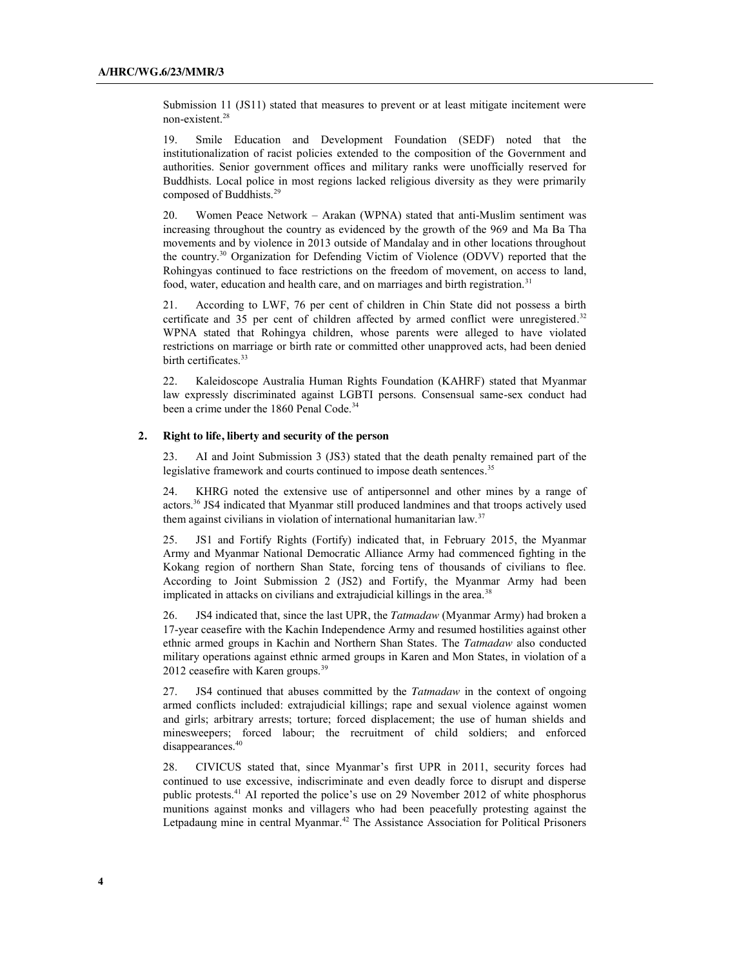Submission 11 (JS11) stated that measures to prevent or at least mitigate incitement were non-existent.28

19. Smile Education and Development Foundation (SEDF) noted that the institutionalization of racist policies extended to the composition of the Government and authorities. Senior government offices and military ranks were unofficially reserved for Buddhists. Local police in most regions lacked religious diversity as they were primarily composed of Buddhists.<sup>29</sup>

20. Women Peace Network – Arakan (WPNA) stated that anti-Muslim sentiment was increasing throughout the country as evidenced by the growth of the 969 and Ma Ba Tha movements and by violence in 2013 outside of Mandalay and in other locations throughout the country.30 Organization for Defending Victim of Violence (ODVV) reported that the Rohingyas continued to face restrictions on the freedom of movement, on access to land, food, water, education and health care, and on marriages and birth registration.<sup>31</sup>

21. According to LWF, 76 per cent of children in Chin State did not possess a birth certificate and 35 per cent of children affected by armed conflict were unregistered.<sup>32</sup> WPNA stated that Rohingya children, whose parents were alleged to have violated restrictions on marriage or birth rate or committed other unapproved acts, had been denied birth certificates.<sup>33</sup>

22. Kaleidoscope Australia Human Rights Foundation (KAHRF) stated that Myanmar law expressly discriminated against LGBTI persons. Consensual same-sex conduct had been a crime under the 1860 Penal Code.<sup>34</sup>

## **2. Right to life, liberty and security of the person**

23. AI and Joint Submission 3 (JS3) stated that the death penalty remained part of the legislative framework and courts continued to impose death sentences.<sup>35</sup>

24. KHRG noted the extensive use of antipersonnel and other mines by a range of actors.36 JS4 indicated that Myanmar still produced landmines and that troops actively used them against civilians in violation of international humanitarian law.<sup>37</sup>

25. JS1 and Fortify Rights (Fortify) indicated that, in February 2015, the Myanmar Army and Myanmar National Democratic Alliance Army had commenced fighting in the Kokang region of northern Shan State, forcing tens of thousands of civilians to flee. According to Joint Submission 2 (JS2) and Fortify, the Myanmar Army had been implicated in attacks on civilians and extrajudicial killings in the area.<sup>38</sup>

26. JS4 indicated that, since the last UPR, the *Tatmadaw* (Myanmar Army) had broken a 17-year ceasefire with the Kachin Independence Army and resumed hostilities against other ethnic armed groups in Kachin and Northern Shan States. The *Tatmadaw* also conducted military operations against ethnic armed groups in Karen and Mon States, in violation of a 2012 ceasefire with Karen groups.<sup>39</sup>

27. JS4 continued that abuses committed by the *Tatmadaw* in the context of ongoing armed conflicts included: extrajudicial killings; rape and sexual violence against women and girls; arbitrary arrests; torture; forced displacement; the use of human shields and minesweepers; forced labour; the recruitment of child soldiers; and enforced disappearances.<sup>40</sup>

28. CIVICUS stated that, since Myanmar's first UPR in 2011, security forces had continued to use excessive, indiscriminate and even deadly force to disrupt and disperse public protests.41 AI reported the police's use on 29 November 2012 of white phosphorus munitions against monks and villagers who had been peacefully protesting against the Letpadaung mine in central Myanmar.<sup>42</sup> The Assistance Association for Political Prisoners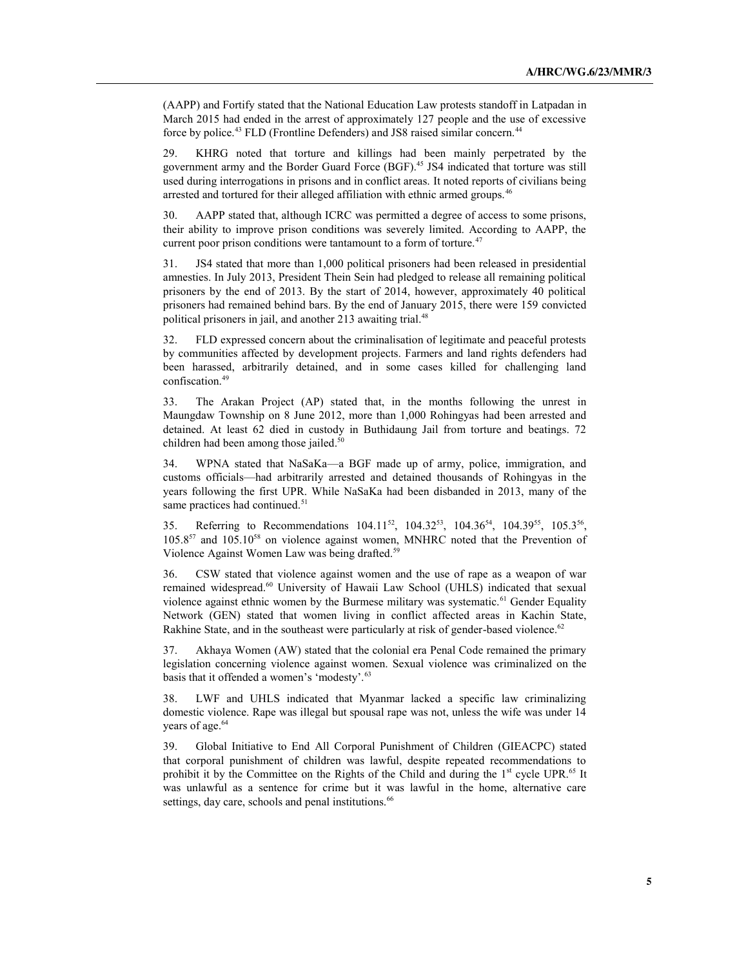(AAPP) and Fortify stated that the National Education Law protests standoff in Latpadan in March 2015 had ended in the arrest of approximately 127 people and the use of excessive force by police.<sup>43</sup> FLD (Frontline Defenders) and JS8 raised similar concern.<sup>44</sup>

29. KHRG noted that torture and killings had been mainly perpetrated by the government army and the Border Guard Force (BGF).45 JS4 indicated that torture was still used during interrogations in prisons and in conflict areas. It noted reports of civilians being arrested and tortured for their alleged affiliation with ethnic armed groups.<sup>46</sup>

30. AAPP stated that, although ICRC was permitted a degree of access to some prisons, their ability to improve prison conditions was severely limited. According to AAPP, the current poor prison conditions were tantamount to a form of torture.<sup>47</sup>

31. JS4 stated that more than 1,000 political prisoners had been released in presidential amnesties. In July 2013, President Thein Sein had pledged to release all remaining political prisoners by the end of 2013. By the start of 2014, however, approximately 40 political prisoners had remained behind bars. By the end of January 2015, there were 159 convicted political prisoners in jail, and another 213 awaiting trial.<sup>48</sup>

32. FLD expressed concern about the criminalisation of legitimate and peaceful protests by communities affected by development projects. Farmers and land rights defenders had been harassed, arbitrarily detained, and in some cases killed for challenging land confiscation.49

33. The Arakan Project (AP) stated that, in the months following the unrest in Maungdaw Township on 8 June 2012, more than 1,000 Rohingyas had been arrested and detained. At least 62 died in custody in Buthidaung Jail from torture and beatings. 72 children had been among those jailed.<sup>50</sup>

34. WPNA stated that NaSaKa—a BGF made up of army, police, immigration, and customs officials—had arbitrarily arrested and detained thousands of Rohingyas in the years following the first UPR. While NaSaKa had been disbanded in 2013, many of the same practices had continued.<sup>51</sup>

35. Referring to Recommendations 104.11<sup>52</sup>, 104.32<sup>53</sup>, 104.36<sup>54</sup>, 104.39<sup>55</sup>, 105.3<sup>56</sup>,  $105.857$  and  $105.1058$  on violence against women, MNHRC noted that the Prevention of Violence Against Women Law was being drafted.<sup>59</sup>

36. CSW stated that violence against women and the use of rape as a weapon of war remained widespread.<sup>60</sup> University of Hawaii Law School (UHLS) indicated that sexual violence against ethnic women by the Burmese military was systematic.<sup>61</sup> Gender Equality Network (GEN) stated that women living in conflict affected areas in Kachin State, Rakhine State, and in the southeast were particularly at risk of gender-based violence.<sup>62</sup>

37. Akhaya Women (AW) stated that the colonial era Penal Code remained the primary legislation concerning violence against women. Sexual violence was criminalized on the basis that it offended a women's 'modesty'.<sup>63</sup>

38. LWF and UHLS indicated that Myanmar lacked a specific law criminalizing domestic violence. Rape was illegal but spousal rape was not, unless the wife was under 14 years of age.<sup>64</sup>

39. Global Initiative to End All Corporal Punishment of Children (GIEACPC) stated that corporal punishment of children was lawful, despite repeated recommendations to prohibit it by the Committee on the Rights of the Child and during the  $1<sup>st</sup>$  cycle UPR.<sup>65</sup> It was unlawful as a sentence for crime but it was lawful in the home, alternative care settings, day care, schools and penal institutions.<sup>66</sup>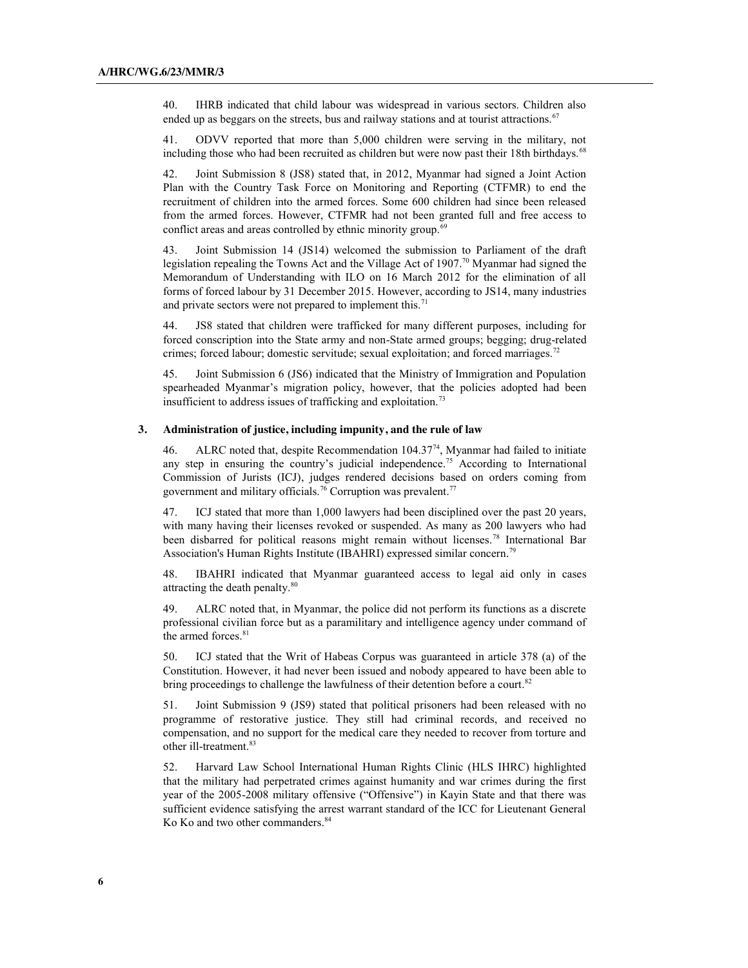40. IHRB indicated that child labour was widespread in various sectors. Children also ended up as beggars on the streets, bus and railway stations and at tourist attractions.<sup>67</sup>

41. ODVV reported that more than 5,000 children were serving in the military, not including those who had been recruited as children but were now past their 18th birthdays.<sup>68</sup>

42. Joint Submission 8 (JS8) stated that, in 2012, Myanmar had signed a Joint Action Plan with the Country Task Force on Monitoring and Reporting (CTFMR) to end the recruitment of children into the armed forces. Some 600 children had since been released from the armed forces. However, CTFMR had not been granted full and free access to conflict areas and areas controlled by ethnic minority group.<sup>69</sup>

43. Joint Submission 14 (JS14) welcomed the submission to Parliament of the draft legislation repealing the Towns Act and the Village Act of 1907.<sup>70</sup> Myanmar had signed the Memorandum of Understanding with ILO on 16 March 2012 for the elimination of all forms of forced labour by 31 December 2015. However, according to JS14, many industries and private sectors were not prepared to implement this.<sup>71</sup>

JS8 stated that children were trafficked for many different purposes, including for forced conscription into the State army and non-State armed groups; begging; drug-related crimes; forced labour; domestic servitude; sexual exploitation; and forced marriages.<sup>72</sup>

45. Joint Submission 6 (JS6) indicated that the Ministry of Immigration and Population spearheaded Myanmar's migration policy, however, that the policies adopted had been insufficient to address issues of trafficking and exploitation.<sup>73</sup>

## **3. Administration of justice, including impunity, and the rule of law**

46. ALRC noted that, despite Recommendation 104.3774, Myanmar had failed to initiate any step in ensuring the country's judicial independence.<sup>75</sup> According to International Commission of Jurists (ICJ), judges rendered decisions based on orders coming from government and military officials.<sup>76</sup> Corruption was prevalent.<sup>77</sup>

47. ICJ stated that more than 1,000 lawyers had been disciplined over the past 20 years, with many having their licenses revoked or suspended. As many as 200 lawyers who had been disbarred for political reasons might remain without licenses.<sup>78</sup> International Bar Association's Human Rights Institute (IBAHRI) expressed similar concern.<sup>79</sup>

48. IBAHRI indicated that Myanmar guaranteed access to legal aid only in cases attracting the death penalty.80

49. ALRC noted that, in Myanmar, the police did not perform its functions as a discrete professional civilian force but as a paramilitary and intelligence agency under command of the armed forces. $81$ 

50. ICJ stated that the Writ of Habeas Corpus was guaranteed in article 378 (a) of the Constitution. However, it had never been issued and nobody appeared to have been able to bring proceedings to challenge the lawfulness of their detention before a court.<sup>82</sup>

51. Joint Submission 9 (JS9) stated that political prisoners had been released with no programme of restorative justice. They still had criminal records, and received no compensation, and no support for the medical care they needed to recover from torture and other ill-treatment.<sup>83</sup>

52. Harvard Law School International Human Rights Clinic (HLS IHRC) highlighted that the military had perpetrated crimes against humanity and war crimes during the first year of the 2005-2008 military offensive ("Offensive") in Kayin State and that there was sufficient evidence satisfying the arrest warrant standard of the ICC for Lieutenant General Ko Ko and two other commanders.<sup>84</sup>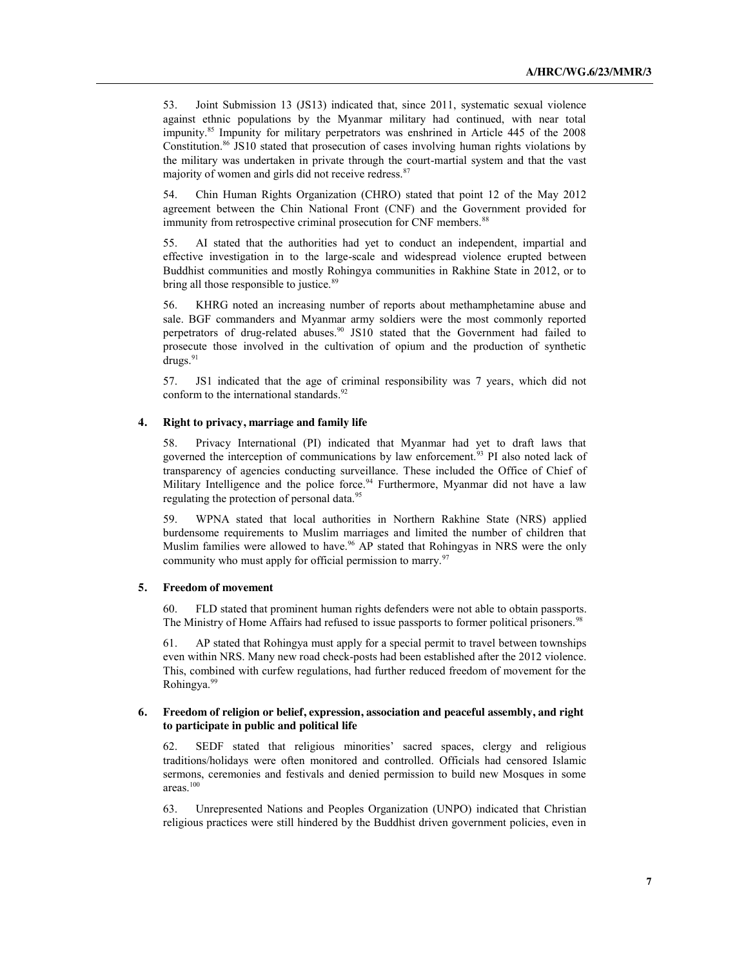53. Joint Submission 13 (JS13) indicated that, since 2011, systematic sexual violence against ethnic populations by the Myanmar military had continued, with near total impunity.85 Impunity for military perpetrators was enshrined in Article 445 of the 2008 Constitution.<sup>86</sup> JS10 stated that prosecution of cases involving human rights violations by the military was undertaken in private through the court-martial system and that the vast majority of women and girls did not receive redress.<sup>87</sup>

54. Chin Human Rights Organization (CHRO) stated that point 12 of the May 2012 agreement between the Chin National Front (CNF) and the Government provided for immunity from retrospective criminal prosecution for CNF members.<sup>88</sup>

55. AI stated that the authorities had yet to conduct an independent, impartial and effective investigation in to the large-scale and widespread violence erupted between Buddhist communities and mostly Rohingya communities in Rakhine State in 2012, or to bring all those responsible to justice.<sup>89</sup>

56. KHRG noted an increasing number of reports about methamphetamine abuse and sale. BGF commanders and Myanmar army soldiers were the most commonly reported perpetrators of drug-related abuses. $90$  JS10 stated that the Government had failed to prosecute those involved in the cultivation of opium and the production of synthetic  $drugs.^{91}$ 

57. JS1 indicated that the age of criminal responsibility was 7 years, which did not conform to the international standards.<sup>92</sup>

## **4. Right to privacy, marriage and family life**

58. Privacy International (PI) indicated that Myanmar had yet to draft laws that governed the interception of communications by law enforcement.<sup>93</sup> PI also noted lack of transparency of agencies conducting surveillance. These included the Office of Chief of Military Intelligence and the police force.<sup>94</sup> Furthermore, Myanmar did not have a law regulating the protection of personal data.<sup>95</sup>

59. WPNA stated that local authorities in Northern Rakhine State (NRS) applied burdensome requirements to Muslim marriages and limited the number of children that Muslim families were allowed to have.<sup>96</sup> AP stated that Rohingyas in NRS were the only community who must apply for official permission to marry. $97$ 

#### **5. Freedom of movement**

60. FLD stated that prominent human rights defenders were not able to obtain passports. The Ministry of Home Affairs had refused to issue passports to former political prisoners.<sup>98</sup>

61. AP stated that Rohingya must apply for a special permit to travel between townships even within NRS. Many new road check-posts had been established after the 2012 violence. This, combined with curfew regulations, had further reduced freedom of movement for the Rohingya.99

#### **6. Freedom of religion or belief, expression, association and peaceful assembly, and right to participate in public and political life**

62. SEDF stated that religious minorities' sacred spaces, clergy and religious traditions/holidays were often monitored and controlled. Officials had censored Islamic sermons, ceremonies and festivals and denied permission to build new Mosques in some areas.100

63. Unrepresented Nations and Peoples Organization (UNPO) indicated that Christian religious practices were still hindered by the Buddhist driven government policies, even in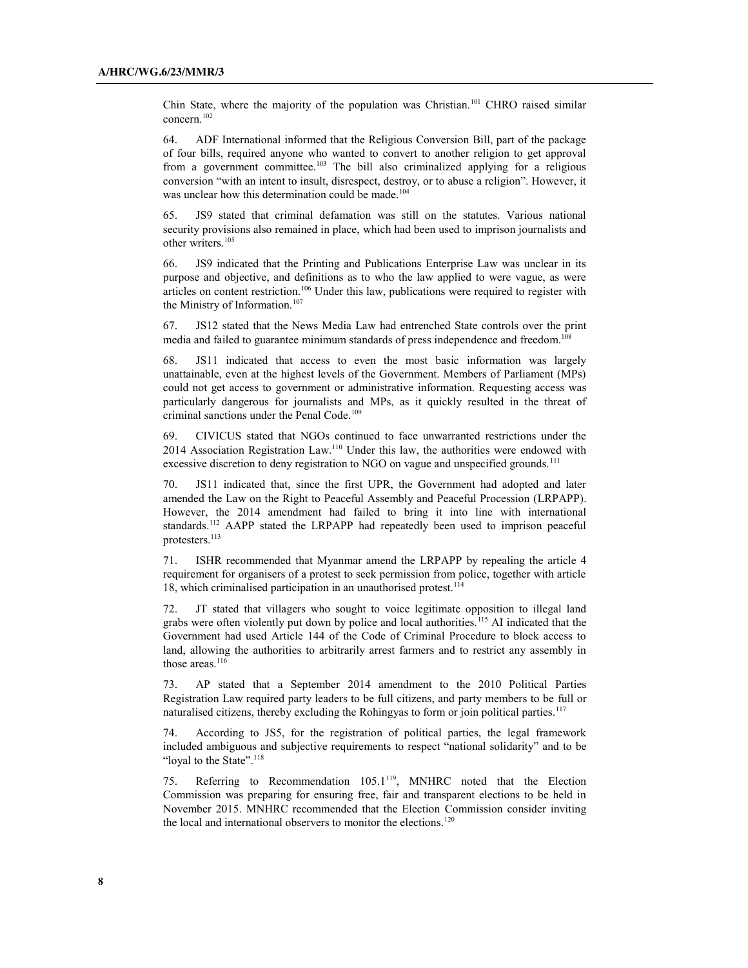Chin State, where the majority of the population was Christian.101 CHRO raised similar concern.102

64. ADF International informed that the Religious Conversion Bill, part of the package of four bills, required anyone who wanted to convert to another religion to get approval from a government committee.<sup>103</sup> The bill also criminalized applying for a religious conversion "with an intent to insult, disrespect, destroy, or to abuse a religion". However, it was unclear how this determination could be made.<sup>104</sup>

65. JS9 stated that criminal defamation was still on the statutes. Various national security provisions also remained in place, which had been used to imprison journalists and other writers.<sup>105</sup>

66. JS9 indicated that the Printing and Publications Enterprise Law was unclear in its purpose and objective, and definitions as to who the law applied to were vague, as were articles on content restriction.<sup>106</sup> Under this law, publications were required to register with the Ministry of Information.<sup>107</sup>

67. JS12 stated that the News Media Law had entrenched State controls over the print media and failed to guarantee minimum standards of press independence and freedom.<sup>108</sup>

68. JS11 indicated that access to even the most basic information was largely unattainable, even at the highest levels of the Government. Members of Parliament (MPs) could not get access to government or administrative information. Requesting access was particularly dangerous for journalists and MPs, as it quickly resulted in the threat of criminal sanctions under the Penal Code.<sup>109</sup>

69. CIVICUS stated that NGOs continued to face unwarranted restrictions under the 2014 Association Registration Law.110 Under this law, the authorities were endowed with excessive discretion to deny registration to NGO on vague and unspecified grounds.<sup>111</sup>

70. JS11 indicated that, since the first UPR, the Government had adopted and later amended the Law on the Right to Peaceful Assembly and Peaceful Procession (LRPAPP). However, the 2014 amendment had failed to bring it into line with international standards.<sup>112</sup> AAPP stated the LRPAPP had repeatedly been used to imprison peaceful protesters.<sup>113</sup>

71. ISHR recommended that Myanmar amend the LRPAPP by repealing the article 4 requirement for organisers of a protest to seek permission from police, together with article 18, which criminalised participation in an unauthorised protest.<sup>114</sup>

72. JT stated that villagers who sought to voice legitimate opposition to illegal land grabs were often violently put down by police and local authorities.<sup>115</sup> AI indicated that the Government had used Article 144 of the Code of Criminal Procedure to block access to land, allowing the authorities to arbitrarily arrest farmers and to restrict any assembly in those areas.<sup>116</sup>

73. AP stated that a September 2014 amendment to the 2010 Political Parties Registration Law required party leaders to be full citizens, and party members to be full or naturalised citizens, thereby excluding the Rohingyas to form or join political parties.<sup>117</sup>

74. According to JS5, for the registration of political parties, the legal framework included ambiguous and subjective requirements to respect "national solidarity" and to be "loyal to the State".<sup>118</sup>

75. Referring to Recommendation 105.1119, MNHRC noted that the Election Commission was preparing for ensuring free, fair and transparent elections to be held in November 2015. MNHRC recommended that the Election Commission consider inviting the local and international observers to monitor the elections.<sup>120</sup>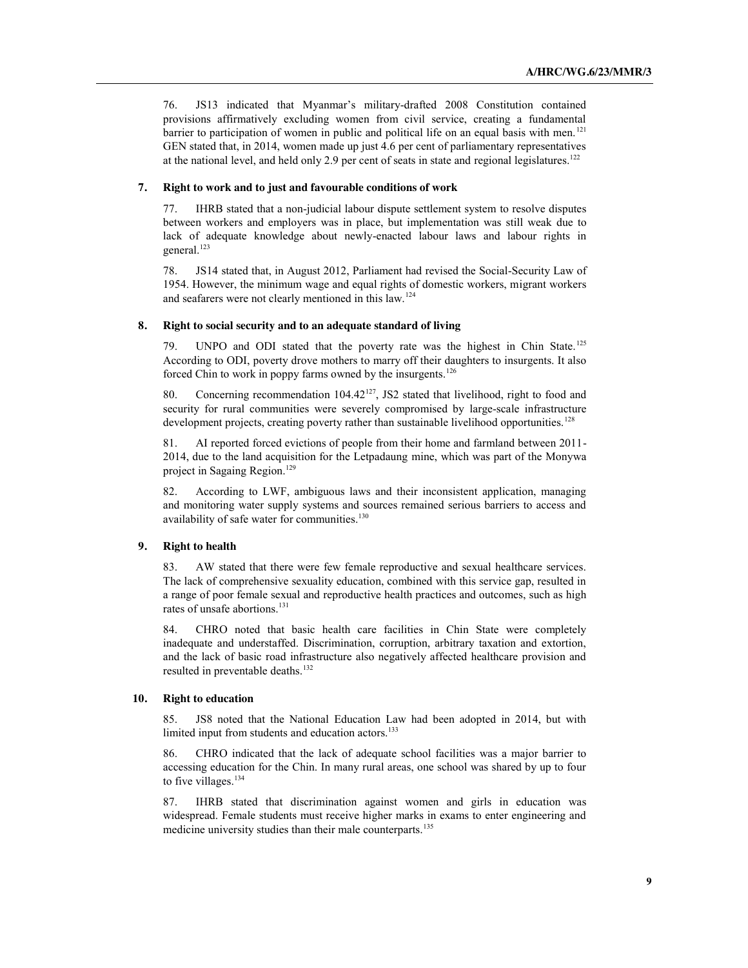76. JS13 indicated that Myanmar's military-drafted 2008 Constitution contained provisions affirmatively excluding women from civil service, creating a fundamental barrier to participation of women in public and political life on an equal basis with men.<sup>121</sup> GEN stated that, in 2014, women made up just 4.6 per cent of parliamentary representatives at the national level, and held only 2.9 per cent of seats in state and regional legislatures.<sup>122</sup>

## **7. Right to work and to just and favourable conditions of work**

77. IHRB stated that a non-judicial labour dispute settlement system to resolve disputes between workers and employers was in place, but implementation was still weak due to lack of adequate knowledge about newly-enacted labour laws and labour rights in general.<sup>123</sup>

78. JS14 stated that, in August 2012, Parliament had revised the Social-Security Law of 1954. However, the minimum wage and equal rights of domestic workers, migrant workers and seafarers were not clearly mentioned in this law.124

## **8. Right to social security and to an adequate standard of living**

79. UNPO and ODI stated that the poverty rate was the highest in Chin State.<sup>125</sup> According to ODI, poverty drove mothers to marry off their daughters to insurgents. It also forced Chin to work in poppy farms owned by the insurgents.<sup>126</sup>

80. Concerning recommendation 104.42<sup>127</sup>, JS2 stated that livelihood, right to food and security for rural communities were severely compromised by large-scale infrastructure development projects, creating poverty rather than sustainable livelihood opportunities.<sup>128</sup>

81. AI reported forced evictions of people from their home and farmland between 2011- 2014, due to the land acquisition for the Letpadaung mine, which was part of the Monywa project in Sagaing Region. 129

82. According to LWF, ambiguous laws and their inconsistent application, managing and monitoring water supply systems and sources remained serious barriers to access and availability of safe water for communities.<sup>130</sup>

## **9. Right to health**

83. AW stated that there were few female reproductive and sexual healthcare services. The lack of comprehensive sexuality education, combined with this service gap, resulted in a range of poor female sexual and reproductive health practices and outcomes, such as high rates of unsafe abortions. 131

84. CHRO noted that basic health care facilities in Chin State were completely inadequate and understaffed. Discrimination, corruption, arbitrary taxation and extortion, and the lack of basic road infrastructure also negatively affected healthcare provision and resulted in preventable deaths.<sup>132</sup>

#### **10. Right to education**

85. JS8 noted that the National Education Law had been adopted in 2014, but with limited input from students and education actors.<sup>133</sup>

86. CHRO indicated that the lack of adequate school facilities was a major barrier to accessing education for the Chin. In many rural areas, one school was shared by up to four to five villages.<sup>134</sup>

87. IHRB stated that discrimination against women and girls in education was widespread. Female students must receive higher marks in exams to enter engineering and medicine university studies than their male counterparts.<sup>135</sup>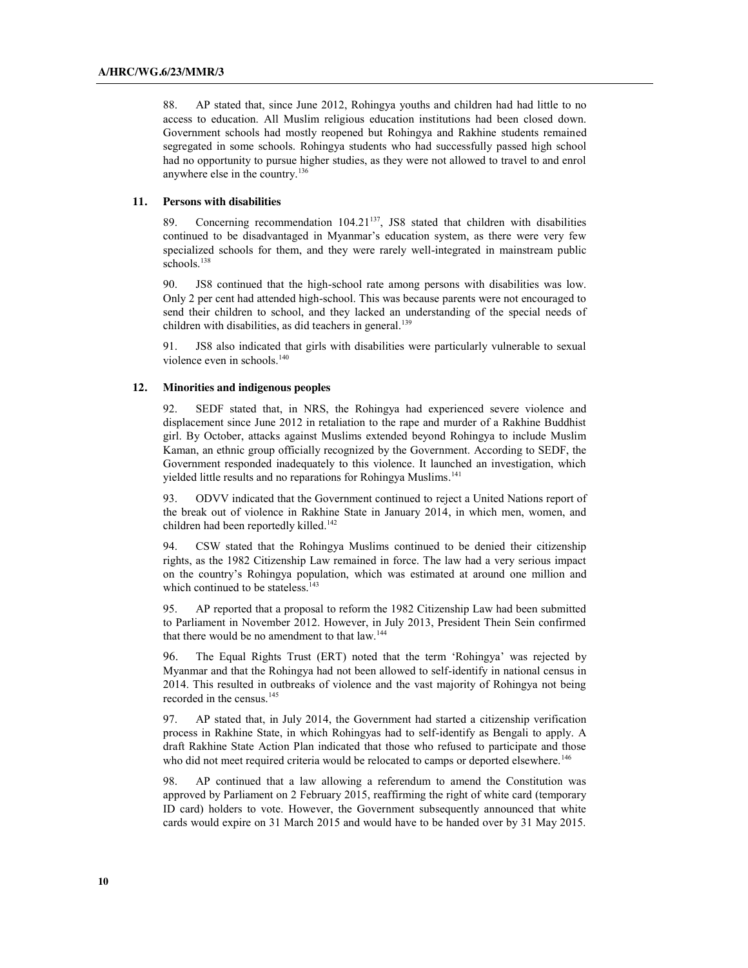88. AP stated that, since June 2012, Rohingya youths and children had had little to no access to education. All Muslim religious education institutions had been closed down. Government schools had mostly reopened but Rohingya and Rakhine students remained segregated in some schools. Rohingya students who had successfully passed high school had no opportunity to pursue higher studies, as they were not allowed to travel to and enrol anywhere else in the country.136

## **11. Persons with disabilities**

89. Concerning recommendation 104.21<sup>137</sup>, JS8 stated that children with disabilities continued to be disadvantaged in Myanmar's education system, as there were very few specialized schools for them, and they were rarely well-integrated in mainstream public schools.<sup>138</sup>

90. JS8 continued that the high-school rate among persons with disabilities was low. Only 2 per cent had attended high-school. This was because parents were not encouraged to send their children to school, and they lacked an understanding of the special needs of children with disabilities, as did teachers in general.<sup>139</sup>

91. JS8 also indicated that girls with disabilities were particularly vulnerable to sexual violence even in schools.<sup>140</sup>

## **12. Minorities and indigenous peoples**

92. SEDF stated that, in NRS, the Rohingya had experienced severe violence and displacement since June 2012 in retaliation to the rape and murder of a Rakhine Buddhist girl. By October, attacks against Muslims extended beyond Rohingya to include Muslim Kaman, an ethnic group officially recognized by the Government. According to SEDF, the Government responded inadequately to this violence. It launched an investigation, which yielded little results and no reparations for Rohingya Muslims. 141

93. ODVV indicated that the Government continued to reject a United Nations report of the break out of violence in Rakhine State in January 2014, in which men, women, and children had been reportedly killed. 142

94. CSW stated that the Rohingya Muslims continued to be denied their citizenship rights, as the 1982 Citizenship Law remained in force. The law had a very serious impact on the country's Rohingya population, which was estimated at around one million and which continued to be stateless.<sup>143</sup>

95. AP reported that a proposal to reform the 1982 Citizenship Law had been submitted to Parliament in November 2012. However, in July 2013, President Thein Sein confirmed that there would be no amendment to that law.<sup>144</sup>

96. The Equal Rights Trust (ERT) noted that the term 'Rohingya' was rejected by Myanmar and that the Rohingya had not been allowed to self-identify in national census in 2014. This resulted in outbreaks of violence and the vast majority of Rohingya not being recorded in the census.<sup>145</sup>

97. AP stated that, in July 2014, the Government had started a citizenship verification process in Rakhine State, in which Rohingyas had to self-identify as Bengali to apply. A draft Rakhine State Action Plan indicated that those who refused to participate and those who did not meet required criteria would be relocated to camps or deported elsewhere.<sup>146</sup>

98. AP continued that a law allowing a referendum to amend the Constitution was approved by Parliament on 2 February 2015, reaffirming the right of white card (temporary ID card) holders to vote. However, the Government subsequently announced that white cards would expire on 31 March 2015 and would have to be handed over by 31 May 2015.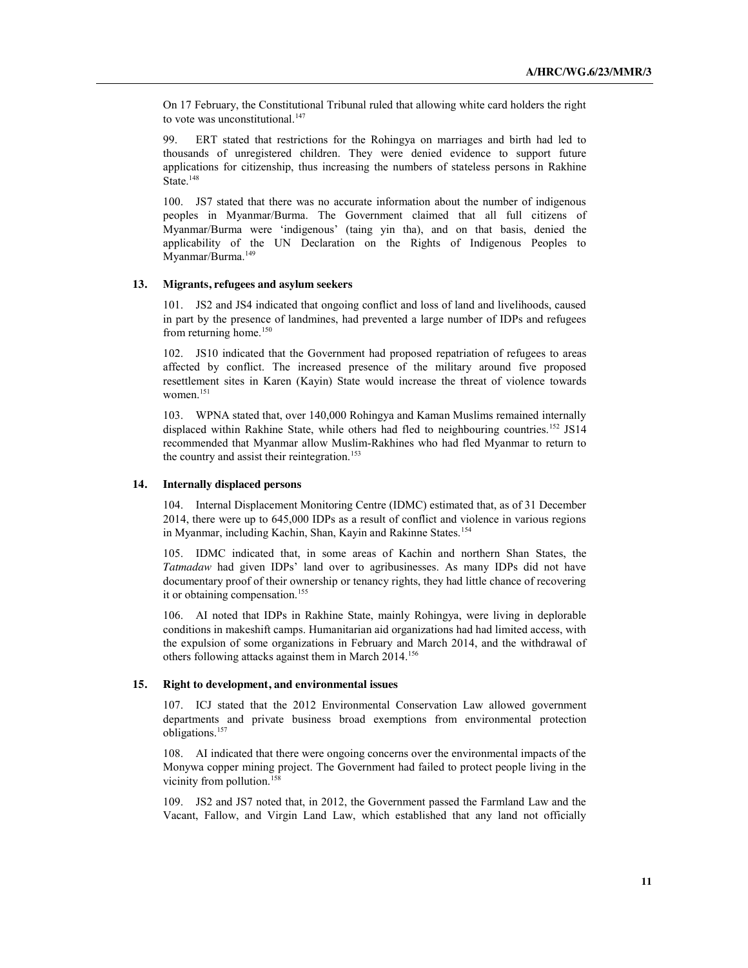On 17 February, the Constitutional Tribunal ruled that allowing white card holders the right to vote was unconstitutional. $147$ 

99. ERT stated that restrictions for the Rohingya on marriages and birth had led to thousands of unregistered children. They were denied evidence to support future applications for citizenship, thus increasing the numbers of stateless persons in Rakhine State.<sup>148</sup>

100. JS7 stated that there was no accurate information about the number of indigenous peoples in Myanmar/Burma. The Government claimed that all full citizens of Myanmar/Burma were 'indigenous' (taing yin tha), and on that basis, denied the applicability of the UN Declaration on the Rights of Indigenous Peoples to Myanmar/Burma.<sup>149</sup>

#### **13. Migrants, refugees and asylum seekers**

101. JS2 and JS4 indicated that ongoing conflict and loss of land and livelihoods, caused in part by the presence of landmines, had prevented a large number of IDPs and refugees from returning home.<sup>150</sup>

102. JS10 indicated that the Government had proposed repatriation of refugees to areas affected by conflict. The increased presence of the military around five proposed resettlement sites in Karen (Kayin) State would increase the threat of violence towards women.<sup>151</sup>

103. WPNA stated that, over 140,000 Rohingya and Kaman Muslims remained internally displaced within Rakhine State, while others had fled to neighbouring countries.<sup>152</sup> JS14 recommended that Myanmar allow Muslim-Rakhines who had fled Myanmar to return to the country and assist their reintegration.<sup>153</sup>

## **14. Internally displaced persons**

104. Internal Displacement Monitoring Centre (IDMC) estimated that, as of 31 December 2014, there were up to 645,000 IDPs as a result of conflict and violence in various regions in Myanmar, including Kachin, Shan, Kayin and Rakinne States.<sup>154</sup>

105. IDMC indicated that, in some areas of Kachin and northern Shan States, the *Tatmadaw* had given IDPs' land over to agribusinesses. As many IDPs did not have documentary proof of their ownership or tenancy rights, they had little chance of recovering it or obtaining compensation.<sup>155</sup>

106. AI noted that IDPs in Rakhine State, mainly Rohingya, were living in deplorable conditions in makeshift camps. Humanitarian aid organizations had had limited access, with the expulsion of some organizations in February and March 2014, and the withdrawal of others following attacks against them in March 2014.<sup>156</sup>

#### **15. Right to development, and environmental issues**

107. ICJ stated that the 2012 Environmental Conservation Law allowed government departments and private business broad exemptions from environmental protection obligations.157

108. AI indicated that there were ongoing concerns over the environmental impacts of the Monywa copper mining project. The Government had failed to protect people living in the vicinity from pollution.<sup>158</sup>

109. JS2 and JS7 noted that, in 2012, the Government passed the Farmland Law and the Vacant, Fallow, and Virgin Land Law, which established that any land not officially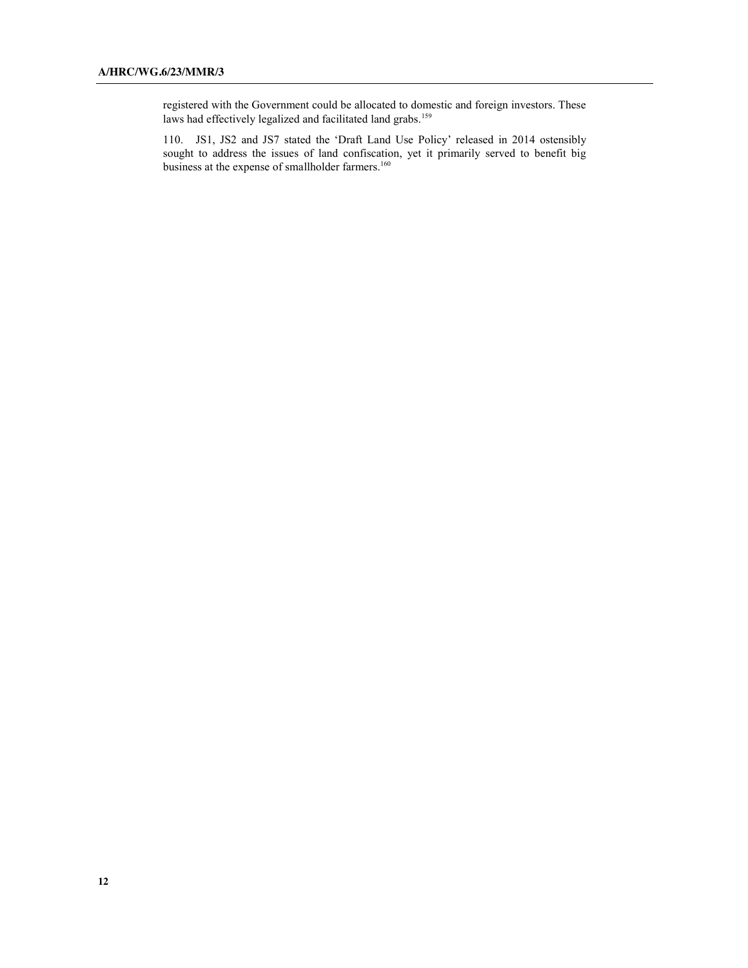registered with the Government could be allocated to domestic and foreign investors. These laws had effectively legalized and facilitated land grabs.<sup>159</sup>

110. JS1, JS2 and JS7 stated the 'Draft Land Use Policy' released in 2014 ostensibly sought to address the issues of land confiscation, yet it primarily served to benefit big business at the expense of smallholder farmers.<sup>160</sup>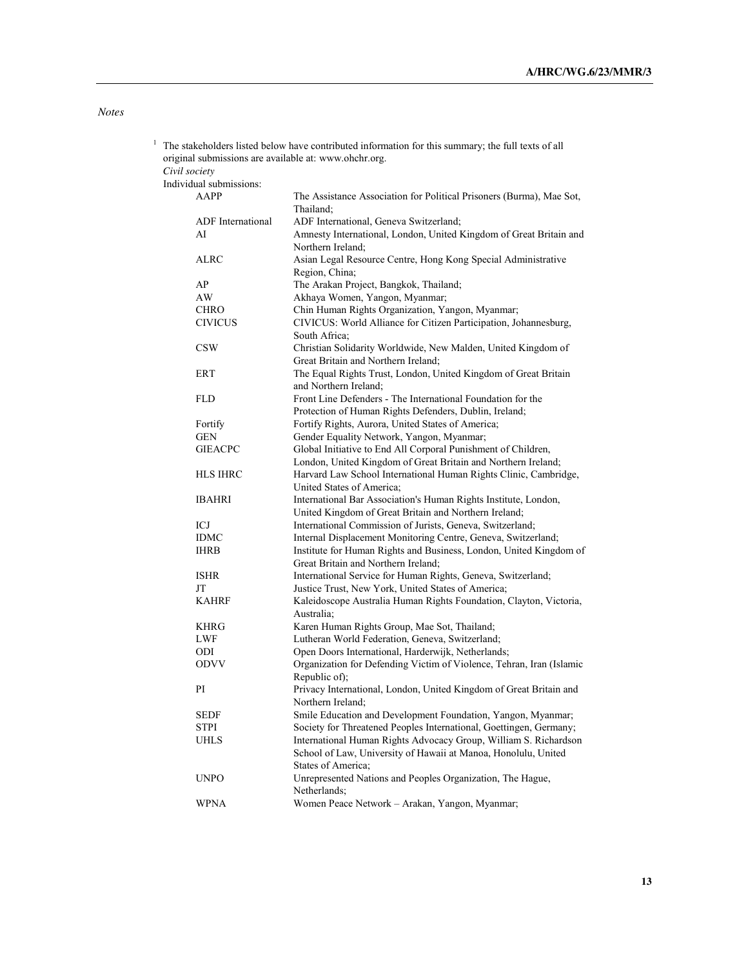# *Notes*

| 1 | The stakeholders listed below have contributed information for this summary; the full texts of all<br>original submissions are available at: www.ohchr.org. |                         |                                                                                                                                    |  |
|---|-------------------------------------------------------------------------------------------------------------------------------------------------------------|-------------------------|------------------------------------------------------------------------------------------------------------------------------------|--|
|   |                                                                                                                                                             |                         |                                                                                                                                    |  |
|   | Civil society                                                                                                                                               |                         |                                                                                                                                    |  |
|   |                                                                                                                                                             | Individual submissions: |                                                                                                                                    |  |
|   |                                                                                                                                                             | AAPP                    | The Assistance Association for Political Prisoners (Burma), Mae Sot,<br>Thailand;                                                  |  |
|   |                                                                                                                                                             | ADF International       | ADF International, Geneva Switzerland;                                                                                             |  |
|   |                                                                                                                                                             | AI                      | Amnesty International, London, United Kingdom of Great Britain and<br>Northern Ireland;                                            |  |
|   |                                                                                                                                                             | <b>ALRC</b>             | Asian Legal Resource Centre, Hong Kong Special Administrative<br>Region, China;                                                    |  |
|   |                                                                                                                                                             | AP                      | The Arakan Project, Bangkok, Thailand;                                                                                             |  |
|   |                                                                                                                                                             | AW                      | Akhaya Women, Yangon, Myanmar;                                                                                                     |  |
|   |                                                                                                                                                             | <b>CHRO</b>             | Chin Human Rights Organization, Yangon, Myanmar;                                                                                   |  |
|   |                                                                                                                                                             | <b>CIVICUS</b>          | CIVICUS: World Alliance for Citizen Participation, Johannesburg,<br>South Africa;                                                  |  |
|   |                                                                                                                                                             | <b>CSW</b>              | Christian Solidarity Worldwide, New Malden, United Kingdom of<br>Great Britain and Northern Ireland;                               |  |
|   |                                                                                                                                                             | <b>ERT</b>              | The Equal Rights Trust, London, United Kingdom of Great Britain<br>and Northern Ireland;                                           |  |
|   |                                                                                                                                                             | <b>FLD</b>              | Front Line Defenders - The International Foundation for the                                                                        |  |
|   |                                                                                                                                                             |                         | Protection of Human Rights Defenders, Dublin, Ireland;                                                                             |  |
|   |                                                                                                                                                             | Fortify                 | Fortify Rights, Aurora, United States of America;                                                                                  |  |
|   |                                                                                                                                                             | <b>GEN</b>              | Gender Equality Network, Yangon, Myanmar;                                                                                          |  |
|   |                                                                                                                                                             | <b>GIEACPC</b>          | Global Initiative to End All Corporal Punishment of Children,                                                                      |  |
|   |                                                                                                                                                             |                         | London, United Kingdom of Great Britain and Northern Ireland;                                                                      |  |
|   |                                                                                                                                                             | HLS IHRC                | Harvard Law School International Human Rights Clinic, Cambridge,                                                                   |  |
|   |                                                                                                                                                             |                         | United States of America;                                                                                                          |  |
|   |                                                                                                                                                             | IBAHRI                  | International Bar Association's Human Rights Institute, London,                                                                    |  |
|   |                                                                                                                                                             |                         | United Kingdom of Great Britain and Northern Ireland;                                                                              |  |
|   |                                                                                                                                                             | ICJ                     | International Commission of Jurists, Geneva, Switzerland;                                                                          |  |
|   |                                                                                                                                                             | <b>IDMC</b>             | Internal Displacement Monitoring Centre, Geneva, Switzerland;                                                                      |  |
|   |                                                                                                                                                             | <b>IHRB</b>             | Institute for Human Rights and Business, London, United Kingdom of<br>Great Britain and Northern Ireland;                          |  |
|   |                                                                                                                                                             | <b>ISHR</b>             | International Service for Human Rights, Geneva, Switzerland;                                                                       |  |
|   |                                                                                                                                                             | JT                      | Justice Trust, New York, United States of America;                                                                                 |  |
|   |                                                                                                                                                             | <b>KAHRF</b>            | Kaleidoscope Australia Human Rights Foundation, Clayton, Victoria,<br>Australia;                                                   |  |
|   |                                                                                                                                                             | <b>KHRG</b>             | Karen Human Rights Group, Mae Sot, Thailand;                                                                                       |  |
|   |                                                                                                                                                             | LWF                     | Lutheran World Federation, Geneva, Switzerland;                                                                                    |  |
|   |                                                                                                                                                             | ODI                     | Open Doors International, Harderwijk, Netherlands;                                                                                 |  |
|   |                                                                                                                                                             | <b>ODVV</b>             | Organization for Defending Victim of Violence, Tehran, Iran (Islamic<br>Republic of);                                              |  |
|   |                                                                                                                                                             | PI                      | Privacy International, London, United Kingdom of Great Britain and<br>Northern Ireland;                                            |  |
|   |                                                                                                                                                             | <b>SEDF</b>             | Smile Education and Development Foundation, Yangon, Myanmar;                                                                       |  |
|   |                                                                                                                                                             | <b>STPI</b>             | Society for Threatened Peoples International, Goettingen, Germany;                                                                 |  |
|   |                                                                                                                                                             | <b>UHLS</b>             | International Human Rights Advocacy Group, William S. Richardson<br>School of Law, University of Hawaii at Manoa, Honolulu, United |  |
|   |                                                                                                                                                             |                         | States of America;                                                                                                                 |  |
|   |                                                                                                                                                             | <b>UNPO</b>             | Unrepresented Nations and Peoples Organization, The Hague,<br>Netherlands;                                                         |  |
|   |                                                                                                                                                             | <b>WPNA</b>             | Women Peace Network - Arakan, Yangon, Myanmar;                                                                                     |  |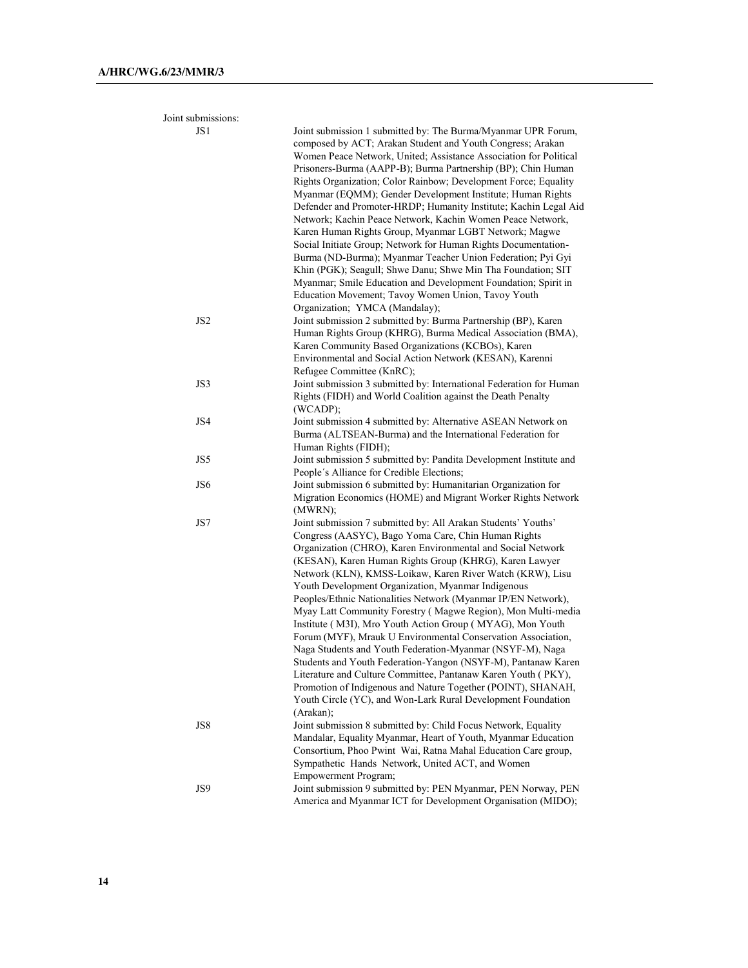| Joint submissions: |                                                                                                                                                                                                                                                                                                                                                                                                                                                                                                                                                                                                                                                                                                                                                                                                                                                                                                                                                                            |
|--------------------|----------------------------------------------------------------------------------------------------------------------------------------------------------------------------------------------------------------------------------------------------------------------------------------------------------------------------------------------------------------------------------------------------------------------------------------------------------------------------------------------------------------------------------------------------------------------------------------------------------------------------------------------------------------------------------------------------------------------------------------------------------------------------------------------------------------------------------------------------------------------------------------------------------------------------------------------------------------------------|
| JS1                | Joint submission 1 submitted by: The Burma/Myanmar UPR Forum,<br>composed by ACT; Arakan Student and Youth Congress; Arakan<br>Women Peace Network, United; Assistance Association for Political<br>Prisoners-Burma (AAPP-B); Burma Partnership (BP); Chin Human<br>Rights Organization; Color Rainbow; Development Force; Equality<br>Myanmar (EQMM); Gender Development Institute; Human Rights<br>Defender and Promoter-HRDP; Humanity Institute; Kachin Legal Aid<br>Network; Kachin Peace Network, Kachin Women Peace Network,<br>Karen Human Rights Group, Myanmar LGBT Network; Magwe<br>Social Initiate Group; Network for Human Rights Documentation-<br>Burma (ND-Burma); Myanmar Teacher Union Federation; Pyi Gyi<br>Khin (PGK); Seagull; Shwe Danu; Shwe Min Tha Foundation; SIT<br>Myanmar; Smile Education and Development Foundation; Spirit in<br>Education Movement; Tavoy Women Union, Tavoy Youth<br>Organization; YMCA (Mandalay);                    |
| JS <sub>2</sub>    | Joint submission 2 submitted by: Burma Partnership (BP), Karen<br>Human Rights Group (KHRG), Burma Medical Association (BMA),<br>Karen Community Based Organizations (KCBOs), Karen<br>Environmental and Social Action Network (KESAN), Karenni<br>Refugee Committee (KnRC);                                                                                                                                                                                                                                                                                                                                                                                                                                                                                                                                                                                                                                                                                               |
| JS3                | Joint submission 3 submitted by: International Federation for Human<br>Rights (FIDH) and World Coalition against the Death Penalty<br>(WCADP);                                                                                                                                                                                                                                                                                                                                                                                                                                                                                                                                                                                                                                                                                                                                                                                                                             |
| JS4                | Joint submission 4 submitted by: Alternative ASEAN Network on<br>Burma (ALTSEAN-Burma) and the International Federation for<br>Human Rights (FIDH);                                                                                                                                                                                                                                                                                                                                                                                                                                                                                                                                                                                                                                                                                                                                                                                                                        |
| JS5                | Joint submission 5 submitted by: Pandita Development Institute and<br>People's Alliance for Credible Elections;                                                                                                                                                                                                                                                                                                                                                                                                                                                                                                                                                                                                                                                                                                                                                                                                                                                            |
| JS6                | Joint submission 6 submitted by: Humanitarian Organization for<br>Migration Economics (HOME) and Migrant Worker Rights Network<br>(MWRN);                                                                                                                                                                                                                                                                                                                                                                                                                                                                                                                                                                                                                                                                                                                                                                                                                                  |
| JS7                | Joint submission 7 submitted by: All Arakan Students' Youths'<br>Congress (AASYC), Bago Yoma Care, Chin Human Rights<br>Organization (CHRO), Karen Environmental and Social Network<br>(KESAN), Karen Human Rights Group (KHRG), Karen Lawyer<br>Network (KLN), KMSS-Loikaw, Karen River Watch (KRW), Lisu<br>Youth Development Organization, Myanmar Indigenous<br>Peoples/Ethnic Nationalities Network (Myanmar IP/EN Network),<br>Myay Latt Community Forestry (Magwe Region), Mon Multi-media<br>Institute (M3I), Mro Youth Action Group (MYAG), Mon Youth<br>Forum (MYF), Mrauk U Environmental Conservation Association,<br>Naga Students and Youth Federation-Myanmar (NSYF-M), Naga<br>Students and Youth Federation-Yangon (NSYF-M), Pantanaw Karen<br>Literature and Culture Committee, Pantanaw Karen Youth (PKY),<br>Promotion of Indigenous and Nature Together (POINT), SHANAH,<br>Youth Circle (YC), and Won-Lark Rural Development Foundation<br>(Arakan); |
| JS8                | Joint submission 8 submitted by: Child Focus Network, Equality<br>Mandalar, Equality Myanmar, Heart of Youth, Myanmar Education<br>Consortium, Phoo Pwint Wai, Ratna Mahal Education Care group,<br>Sympathetic Hands Network, United ACT, and Women<br>Empowerment Program;                                                                                                                                                                                                                                                                                                                                                                                                                                                                                                                                                                                                                                                                                               |
| JS9                | Joint submission 9 submitted by: PEN Myanmar, PEN Norway, PEN<br>America and Myanmar ICT for Development Organisation (MIDO);                                                                                                                                                                                                                                                                                                                                                                                                                                                                                                                                                                                                                                                                                                                                                                                                                                              |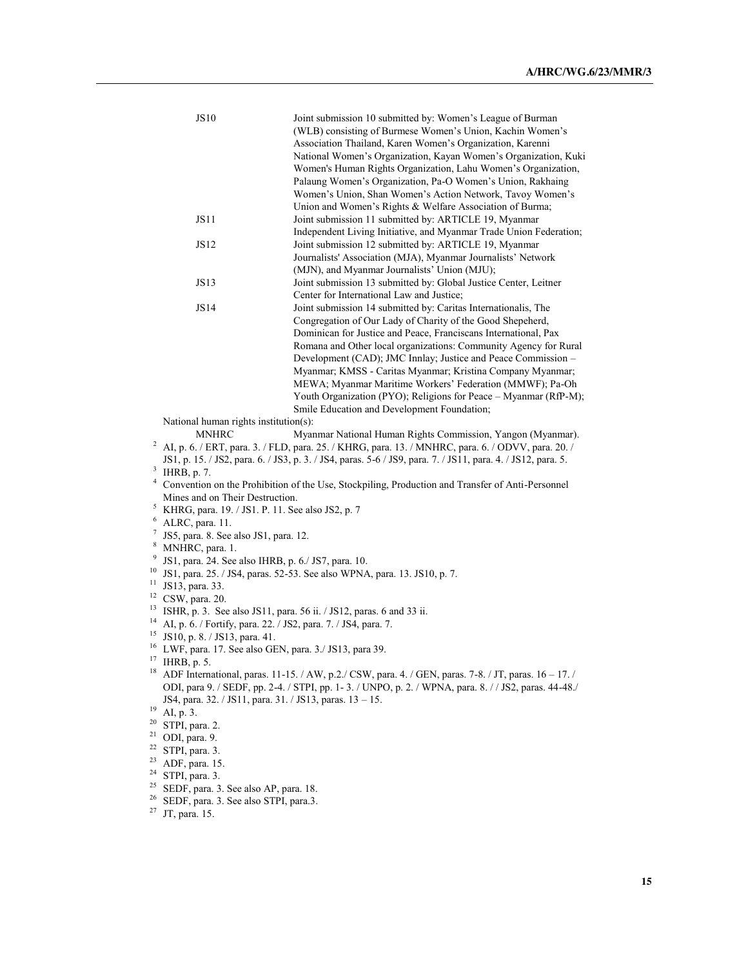|          | <b>JS10</b>                                                                                                   | Joint submission 10 submitted by: Women's League of Burman<br>(WLB) consisting of Burmese Women's Union, Kachin Women's<br>Association Thailand, Karen Women's Organization, Karenni<br>National Women's Organization, Kayan Women's Organization, Kuki<br>Women's Human Rights Organization, Lahu Women's Organization,                                                                                                                                                                                        |  |  |
|----------|---------------------------------------------------------------------------------------------------------------|-----------------------------------------------------------------------------------------------------------------------------------------------------------------------------------------------------------------------------------------------------------------------------------------------------------------------------------------------------------------------------------------------------------------------------------------------------------------------------------------------------------------|--|--|
|          |                                                                                                               | Palaung Women's Organization, Pa-O Women's Union, Rakhaing<br>Women's Union, Shan Women's Action Network, Tavoy Women's<br>Union and Women's Rights & Welfare Association of Burma;                                                                                                                                                                                                                                                                                                                             |  |  |
|          | JS11                                                                                                          | Joint submission 11 submitted by: ARTICLE 19, Myanmar<br>Independent Living Initiative, and Myanmar Trade Union Federation;                                                                                                                                                                                                                                                                                                                                                                                     |  |  |
|          | JS12                                                                                                          | Joint submission 12 submitted by: ARTICLE 19, Myanmar<br>Journalists' Association (MJA), Myanmar Journalists' Network                                                                                                                                                                                                                                                                                                                                                                                           |  |  |
|          | JS13                                                                                                          | (MJN), and Myanmar Journalists' Union (MJU);<br>Joint submission 13 submitted by: Global Justice Center, Leitner                                                                                                                                                                                                                                                                                                                                                                                                |  |  |
|          | JS14                                                                                                          | Center for International Law and Justice;<br>Joint submission 14 submitted by: Caritas Internationalis, The                                                                                                                                                                                                                                                                                                                                                                                                     |  |  |
|          |                                                                                                               | Congregation of Our Lady of Charity of the Good Shepeherd,<br>Dominican for Justice and Peace, Franciscans International, Pax<br>Romana and Other local organizations: Community Agency for Rural<br>Development (CAD); JMC Innlay; Justice and Peace Commission -<br>Myanmar; KMSS - Caritas Myanmar; Kristina Company Myanmar;<br>MEWA; Myanmar Maritime Workers' Federation (MMWF); Pa-Oh<br>Youth Organization (PYO); Religions for Peace - Myanmar (RfP-M);<br>Smile Education and Development Foundation; |  |  |
|          | National human rights institution(s):                                                                         |                                                                                                                                                                                                                                                                                                                                                                                                                                                                                                                 |  |  |
|          | <b>MNHRC</b>                                                                                                  | Myanmar National Human Rights Commission, Yangon (Myanmar).                                                                                                                                                                                                                                                                                                                                                                                                                                                     |  |  |
|          | $^{2}$ AI, p. 6. / ERT, para. 3. / FLD, para. 25. / KHRG, para. 13. / MNHRC, para. 6. / ODVV, para. 20. /     |                                                                                                                                                                                                                                                                                                                                                                                                                                                                                                                 |  |  |
|          | JS1, p. 15. / JS2, para. 6. / JS3, p. 3. / JS4, paras. 5-6 / JS9, para. 7. / JS11, para. 4. / JS12, para. 5.  |                                                                                                                                                                                                                                                                                                                                                                                                                                                                                                                 |  |  |
|          | $3$ IHRB, p. 7.                                                                                               |                                                                                                                                                                                                                                                                                                                                                                                                                                                                                                                 |  |  |
|          | <sup>4</sup> Convention on the Prohibition of the Use, Stockpiling, Production and Transfer of Anti-Personnel |                                                                                                                                                                                                                                                                                                                                                                                                                                                                                                                 |  |  |
|          | Mines and on Their Destruction.<br><sup>5</sup> KHRG, para. 19. / JS1. P. 11. See also JS2, p. 7              |                                                                                                                                                                                                                                                                                                                                                                                                                                                                                                                 |  |  |
|          | $6$ ALRC, para. 11.                                                                                           |                                                                                                                                                                                                                                                                                                                                                                                                                                                                                                                 |  |  |
| 7        | JS5, para. 8. See also JS1, para. 12.                                                                         |                                                                                                                                                                                                                                                                                                                                                                                                                                                                                                                 |  |  |
| 8        | MNHRC, para. 1.                                                                                               |                                                                                                                                                                                                                                                                                                                                                                                                                                                                                                                 |  |  |
| 9        | JS1, para. 24. See also IHRB, p. 6./ JS7, para. 10.                                                           |                                                                                                                                                                                                                                                                                                                                                                                                                                                                                                                 |  |  |
|          |                                                                                                               | <sup>10</sup> JS1, para. 25. / JS4, paras. 52-53. See also WPNA, para. 13. JS10, p. 7.                                                                                                                                                                                                                                                                                                                                                                                                                          |  |  |
|          | <sup>11</sup> JS13, para. 33.                                                                                 |                                                                                                                                                                                                                                                                                                                                                                                                                                                                                                                 |  |  |
|          | $12$ CSW, para. 20.                                                                                           |                                                                                                                                                                                                                                                                                                                                                                                                                                                                                                                 |  |  |
| 14       | <sup>13</sup> ISHR, p. 3. See also JS11, para. 56 ii. / JS12, paras. 6 and 33 ii.                             |                                                                                                                                                                                                                                                                                                                                                                                                                                                                                                                 |  |  |
|          | AI, p. 6. / Fortify, para. 22. / JS2, para. 7. / JS4, para. 7.<br><sup>15</sup> JS10, p. 8. / JS13, para. 41. |                                                                                                                                                                                                                                                                                                                                                                                                                                                                                                                 |  |  |
|          | <sup>16</sup> LWF, para. 17. See also GEN, para. 3./ JS13, para 39.                                           |                                                                                                                                                                                                                                                                                                                                                                                                                                                                                                                 |  |  |
| $17$     | IHRB, p. 5.                                                                                                   |                                                                                                                                                                                                                                                                                                                                                                                                                                                                                                                 |  |  |
| 18       |                                                                                                               | ADF International, paras. 11-15. / AW, p.2./ CSW, para. 4. / GEN, paras. 7-8. / JT, paras. 16 - 17. /                                                                                                                                                                                                                                                                                                                                                                                                           |  |  |
|          |                                                                                                               | ODI, para 9. / SEDF, pp. 2-4. / STPI, pp. 1-3. / UNPO, p. 2. / WPNA, para. 8. / / JS2, paras. 44-48./                                                                                                                                                                                                                                                                                                                                                                                                           |  |  |
| 19       | JS4, para. 32. / JS11, para. 31. / JS13, paras. 13 - 15.                                                      |                                                                                                                                                                                                                                                                                                                                                                                                                                                                                                                 |  |  |
| 20       | AI, p. 3.<br>STPI, para. 2.                                                                                   |                                                                                                                                                                                                                                                                                                                                                                                                                                                                                                                 |  |  |
|          | $21$ ODI, para. 9.                                                                                            |                                                                                                                                                                                                                                                                                                                                                                                                                                                                                                                 |  |  |
| 22       | STPI, para. 3.                                                                                                |                                                                                                                                                                                                                                                                                                                                                                                                                                                                                                                 |  |  |
| 23       | ADF, para. 15.                                                                                                |                                                                                                                                                                                                                                                                                                                                                                                                                                                                                                                 |  |  |
| 24       | STPI, para. 3.                                                                                                |                                                                                                                                                                                                                                                                                                                                                                                                                                                                                                                 |  |  |
| 25<br>26 | SEDF, para. 3. See also AP, para. 18.                                                                         |                                                                                                                                                                                                                                                                                                                                                                                                                                                                                                                 |  |  |
| 27       | SEDF, para. 3. See also STPI, para.3.<br>JT, para. 15.                                                        |                                                                                                                                                                                                                                                                                                                                                                                                                                                                                                                 |  |  |
|          |                                                                                                               |                                                                                                                                                                                                                                                                                                                                                                                                                                                                                                                 |  |  |
|          |                                                                                                               |                                                                                                                                                                                                                                                                                                                                                                                                                                                                                                                 |  |  |
|          |                                                                                                               |                                                                                                                                                                                                                                                                                                                                                                                                                                                                                                                 |  |  |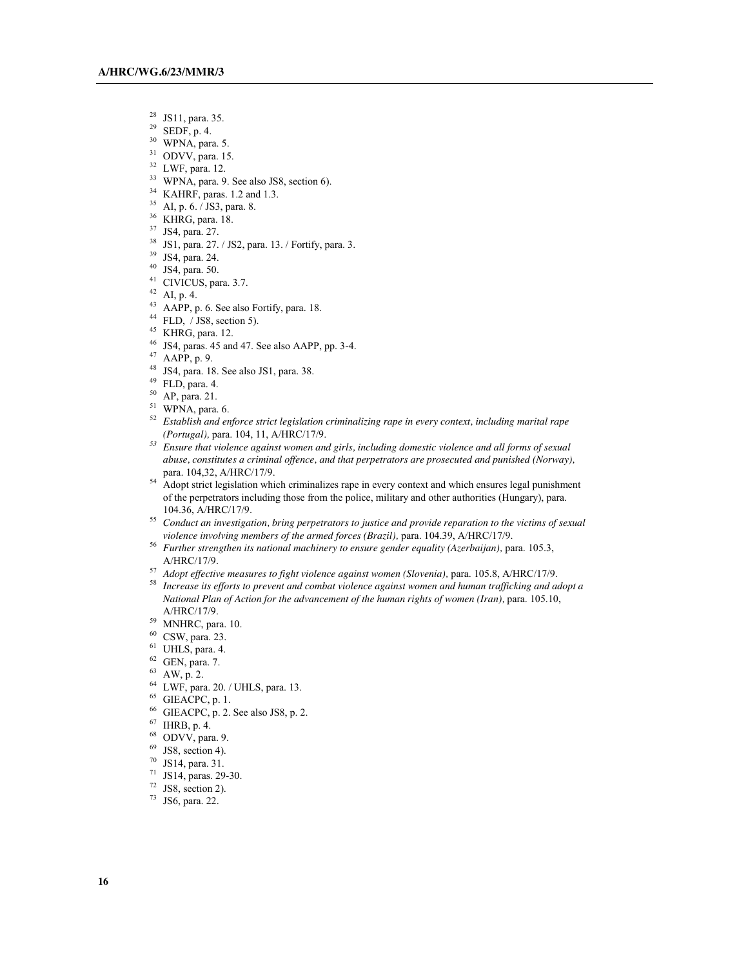- $^{28}$  JS11, para. 35.<br><sup>29</sup> SEDE n 4
- SEDF, p. 4.
- WPNA, para. 5.
- ODVV, para. 15.<br> $32$  LWF, para. 12.
- 
- <sup>33</sup> WPNA, para. 9. See also JS8, section 6).
- KAHRF, paras. 1.2 and 1.3.
- AI, p. 6. / JS3, para. 8.
- KHRG, para. 18.
- JS4, para. 27.
- JS1, para. 27. / JS2, para. 13. / Fortify, para. 3.
- JS4, para. 24.
- JS4, para. 50.
- CIVICUS, para. 3.7.
- AI, p. 4.
- AAPP, p. 6. See also Fortify, para. 18.
- FLD,  $/$  JS8, section 5).
- KHRG, para. 12.
- JS4, paras. 45 and 47. See also AAPP, pp. 3-4.
- AAPP, p. 9.
- $^{48}$  JS4, para. 18. See also JS1, para. 38.<br> $^{49}$  FLD, para. 4.
- 
- 
- $^{50}$  AP, para. 21.<br><sup>51</sup> WPNA, para. 6.
- *Establish and enforce strict legislation criminalizing rape in every context, including marital rape (Portugal),* para. 104, 11, A/HRC/17/9.
- *Ensure that violence against women and girls, including domestic violence and all forms of sexual abuse, constitutes a criminal offence, and that perpetrators are prosecuted and punished (Norway),* para. 104,32, A/HRC/17/9.
- Adopt strict legislation which criminalizes rape in every context and which ensures legal punishment of the perpetrators including those from the police, military and other authorities (Hungary), para. 104.36, A/HRC/17/9.
- *Conduct an investigation, bring perpetrators to justice and provide reparation to the victims of sexual*
- *violence involving members of the armed forces (Brazil),* para. 104.39, A/HRC/17/9. *Further strengthen its national machinery to ensure gender equality (Azerbaijan),* para. 105.3, A/HRC/17/9.<br>57 Adopt effective measures to fight violence against women (Slovenia), para. 105.8, A/HRC/17/9.
- 
- <sup>58</sup> Increase its efforts to prevent and combat violence against women and human trafficking and adopt a *National Plan of Action for the advancement of the human rights of women (Iran),* para. 105.10, A/HRC/17/9.
- MNHRC, para. 10.
- CSW, para. 23.
- <sup>61</sup> UHLS, para. 4.<br><sup>62</sup> GEN, para. 7.<br><sup>63</sup> AW, p. 2.
- 
- 
- <sup>64</sup> LWF, para. 20. / UHLS, para. 13.<br><sup>65</sup> GIEACPC, p. 1.
- 
- $<sup>66</sup>$  GIEACPC, p. 2. See also JS8, p. 2.</sup>
- 
- IHRB, p. 4.<br> $68$  ODVV, para. 9.
- JS8, section 4).
- JS14, para. 31.
- JS14, paras. 29-30.
- JS8, section 2).
- JS6, para. 22.
-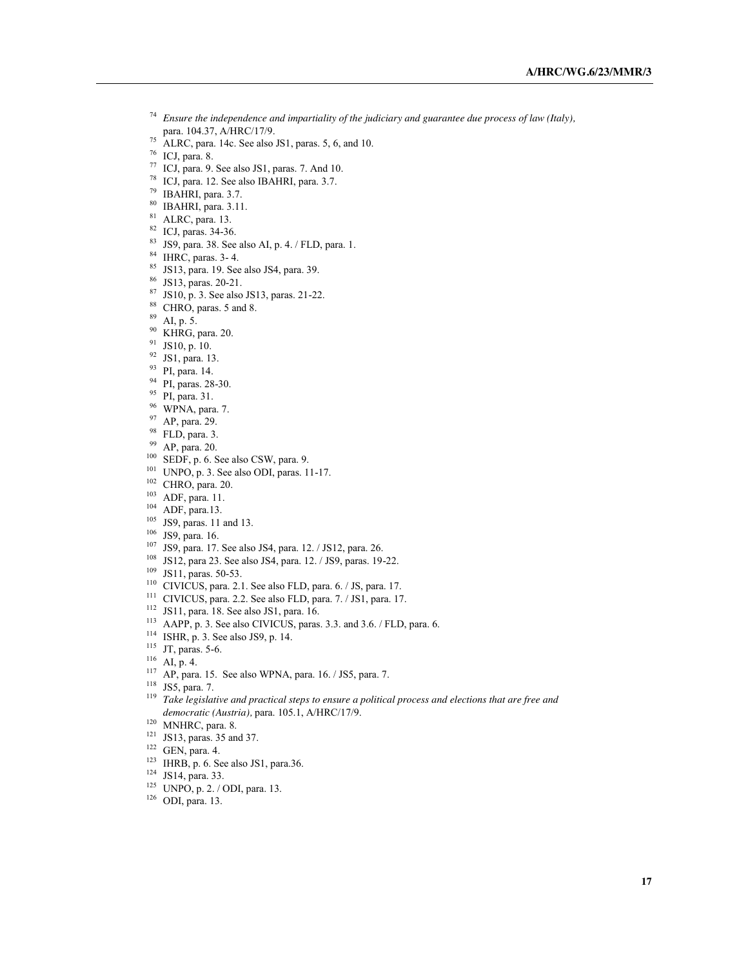- *Ensure the independence and impartiality of the judiciary and guarantee due process of law (Italy),* para. 104.37, A/HRC/17/9.
- ALRC, para. 14c. See also JS1, paras. 5, 6, and 10.
- ICJ, para. 8.
- ICJ, para. 9. See also JS1, paras. 7. And 10.
- ICJ, para. 12. See also IBAHRI, para. 3.7.
- IBAHRI, para. 3.7.
- <sup>80</sup> IBAHRI, para. 3.11.<br><sup>81</sup> ALRC, para. 13.
- 
- 82 ICJ, paras. 34-36.
- JS9, para. 38. See also AI, p. 4. / FLD, para. 1.
- IHRC, paras. 3- 4.
- JS13, para. 19. See also JS4, para. 39.
- JS13, paras. 20-21.
- JS10, p. 3. See also JS13, paras. 21-22.
- <sup>88</sup> CHRO, paras. 5 and 8.<br><sup>89</sup> AI, p. 5.
- 
- KHRG, para. 20.
- $^{91}$  JS10, p. 10.<br> $^{92}$  JS1, pere 12
- $\frac{92}{93}$  JS1, para. 13.<br>  $\frac{93}{94}$  PI, para. 14.<br>
PI paras. 28-2
- 
- <sup>94</sup> PI, paras. 28-30.<br><sup>95</sup> PI, para. 31.<br><sup>96</sup> WPNA para. 7
- 
- $^{96}$  WPNA, para. 7.<br> $^{97}$  AP para. 29
- 
- 
- 
- 97 AP, para. 29.<br>
98 FLD, para. 3.<br>
99 AP, para. 20.<br>
100 SEDF, p. 6. See also CSW, para. 9.
- UNPO, p. 3. See also ODI, paras. 11-17.
- CHRO, para. 20.
- ADF, para. 11.
- ADF, para.13.
- $^{105}$  JS9, paras. 11 and 13.<br> $^{106}$  JS9, para. 16.
- 
- <sup>107</sup> JS9, para. 17. See also JS4, para. 12. / JS12, para. 26.
- JS12, para 23. See also JS4, para. 12. / JS9, paras. 19-22.
- JS11, paras. 50-53.
- <sup>110</sup> CIVICUS, para. 2.1. See also FLD, para. 6. / JS, para. 17.
- CIVICUS, para. 2.2. See also FLD, para. 7. / JS1, para. 17.
- JS11, para. 18. See also JS1, para. 16.
- AAPP, p. 3. See also CIVICUS, paras. 3.3. and 3.6. / FLD, para. 6.
- ISHR, p. 3. See also JS9, p. 14.
- <sup>115</sup> JT, paras. 5-6.<br><sup>116</sup> AI, p. 4.
- 
- AP, para. 15. See also WPNA, para. 16. / JS5, para. 7.
- JS5, para. 7.
- *Take legislative and practical steps to ensure a political process and elections that are free and democratic (Austria),* para. 105.1, A/HRC/17/9.
- <sup>120</sup> MNHRC, para. 8.
- $^{121}$  JS13, paras. 35 and 37.<br><sup>122</sup> GEN, para. 4.
- 
- IHRB, p. 6. See also JS1, para.36.
- JS14, para. 33.
- UNPO, p. 2. / ODI, para. 13.
- ODI, para. 13.